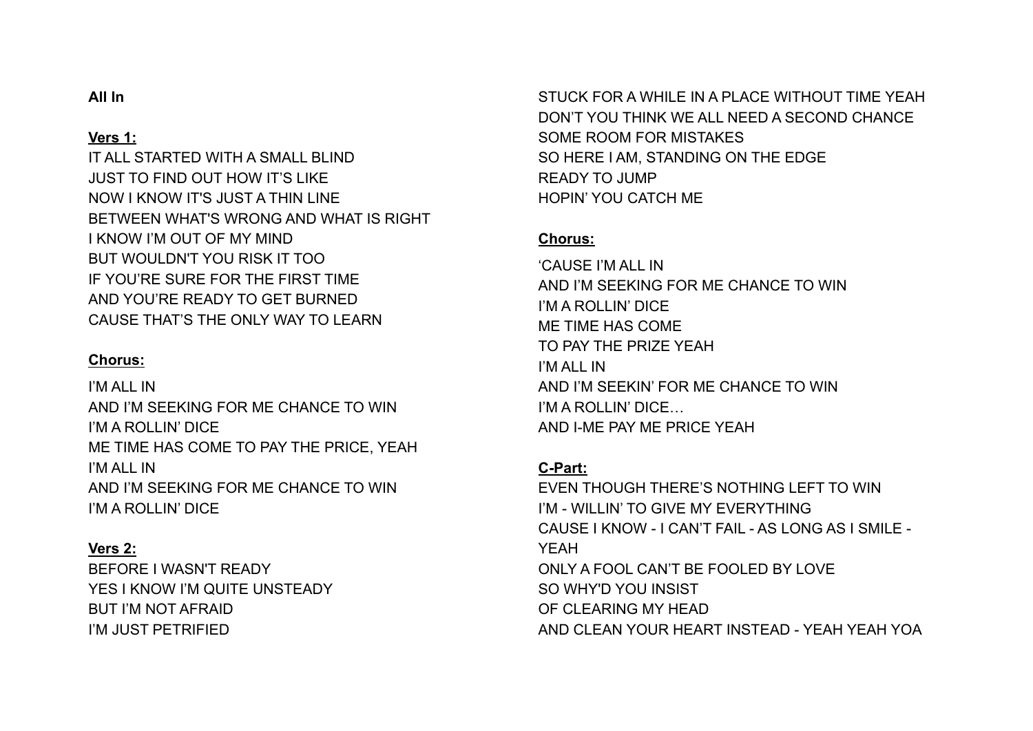## **All In**

### **Vers 1:**

IT ALL STARTED WITH A SMALL BLIND JUST TO FIND OUT HOW IT'S LIKE NOW I KNOW IT'S JUST A THIN LINE BETWEEN WHAT'S WRONG AND WHAT IS RIGHT I KNOW I'M OUT OF MY MIND BUT WOULDN'T YOU RISK IT TOO IF YOU'RE SURE FOR THE FIRST TIME AND YOU'RE READY TO GET BURNED CAUSE THAT'S THE ONLY WAY TO LEARN

#### **Chorus:**

I'M ALL IN AND I'M SEEKING FOR ME CHANCE TO WIN I'M A ROLLIN' DICE ME TIME HAS COME TO PAY THE PRICE, YEAH I'M ALL IN AND I'M SEEKING FOR ME CHANCE TO WIN I'M A ROLLIN' DICE

#### **Vers 2:**

BEFORE I WASN'T READY YES I KNOW I'M QUITE UNSTEADY BUT I'M NOT AFRAID I'M JUST PETRIFIED

STUCK FOR A WHILE IN A PLACE WITHOUT TIME YEAH DON'T YOU THINK WE ALL NEED A SECOND CHANCE SOME ROOM FOR MISTAKES SO HERE I AM, STANDING ON THE EDGE READY TO JUMP HOPIN' YOU CATCH ME

#### **Chorus:**

'CAUSE I'M ALL IN AND I'M SEEKING FOR ME CHANCE TO WIN I'M A ROLLIN' DICE ME TIME HAS COME TO PAY THE PRIZE YEAH I'M ALL IN AND I'M SEEKIN' FOR ME CHANCE TO WIN I'M A ROLLIN' DICE… AND I-ME PAY ME PRICE YEAH

## **C-Part:**

EVEN THOUGH THERE'S NOTHING LEFT TO WIN I'M - WILLIN' TO GIVE MY EVERYTHING CAUSE I KNOW - I CAN'T FAIL - AS LONG AS I SMILE - YEAH ONLY A FOOL CAN'T BE FOOLED BY LOVE SO WHY'D YOU INSIST OF CLEARING MY HEAD AND CLEAN YOUR HEART INSTEAD - YEAH YEAH YOA